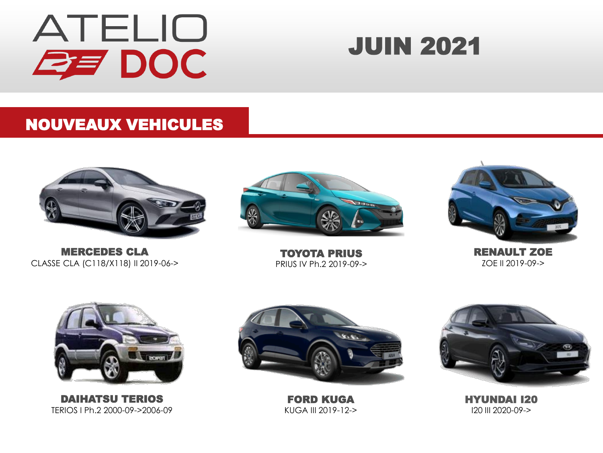

### JUIN 2021

#### NOUVEAUX VEHICULES



MERCEDES CLA CLASSE CLA (C118/X118) II 2019-06->



TOYOTA PRIUS PRIUS IV Ph.2 2019-09->



RENAULT ZOE ZOE II 2019-09->



DAIHATSU TERIOS TERIOS I Ph.2 2000-09->2006-09



FORD KUGA KUGA III 2019-12->



HYUNDAI I20 I20 III 2020-09->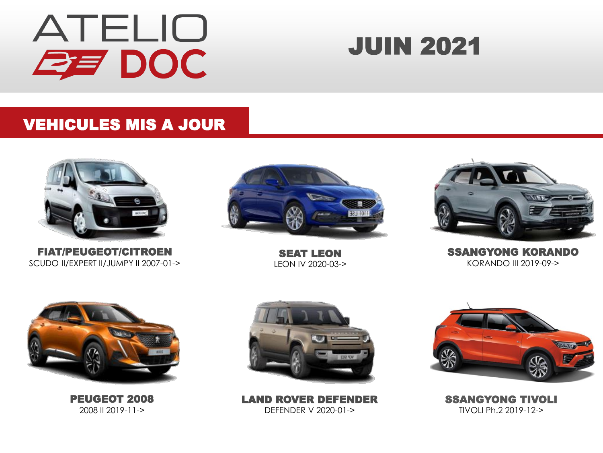

### JUIN 2021

#### VEHICULES MIS A JOUR



FIAT/PEUGEOT/CITROEN SCUDO II/EXPERT II/JUMPY II 2007-01->



SEAT LEON LEON IV 2020-03->



SSANGYONG KORANDO KORANDO III 2019-09->



PEUGEOT 2008 2008 II 2019-11->



LAND ROVER DEFENDER DEFENDER V 2020-01->



SSANGYONG TIVOLI TIVOLI Ph.2 2019-12->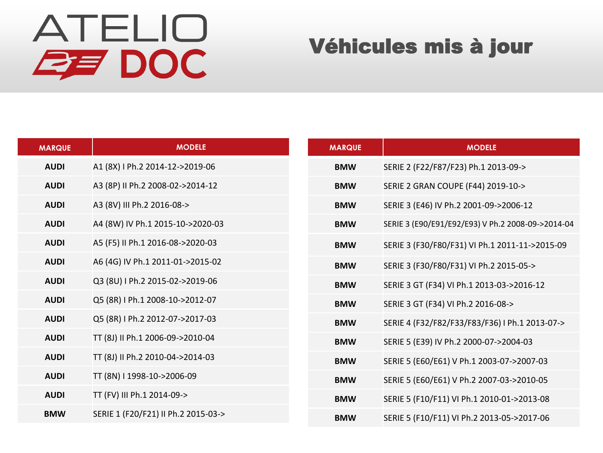| <b>MARQUE</b> | <b>MODELE</b>                       | <b>MARQUE</b> | <b>MODELE</b>                                     |
|---------------|-------------------------------------|---------------|---------------------------------------------------|
| <b>AUDI</b>   | A1 (8X) I Ph.2 2014-12->2019-06     | <b>BMW</b>    | SERIE 2 (F22/F87/F23) Ph.1 2013-09->              |
| <b>AUDI</b>   | A3 (8P) II Ph.2 2008-02->2014-12    | <b>BMW</b>    | SERIE 2 GRAN COUPE (F44) 2019-10->                |
| <b>AUDI</b>   | A3 (8V) III Ph.2 2016-08->          | <b>BMW</b>    | SERIE 3 (E46) IV Ph.2 2001-09->2006-12            |
| <b>AUDI</b>   | A4 (8W) IV Ph.1 2015-10->2020-03    | <b>BMW</b>    | SERIE 3 (E90/E91/E92/E93) V Ph.2 2008-09->2014-04 |
| <b>AUDI</b>   | A5 (F5) II Ph.1 2016-08->2020-03    | <b>BMW</b>    | SERIE 3 (F30/F80/F31) VI Ph.1 2011-11->2015-09    |
| <b>AUDI</b>   | A6 (4G) IV Ph.1 2011-01->2015-02    | <b>BMW</b>    | SERIE 3 (F30/F80/F31) VI Ph.2 2015-05->           |
| <b>AUDI</b>   | Q3 (8U) I Ph.2 2015-02->2019-06     | <b>BMW</b>    | SERIE 3 GT (F34) VI Ph.1 2013-03->2016-12         |
| <b>AUDI</b>   | Q5 (8R) I Ph.1 2008-10->2012-07     | <b>BMW</b>    | SERIE 3 GT (F34) VI Ph.2 2016-08->                |
| <b>AUDI</b>   | Q5 (8R) I Ph.2 2012-07->2017-03     | <b>BMW</b>    | SERIE 4 (F32/F82/F33/F83/F36) I Ph.1 2013-07->    |
| <b>AUDI</b>   | TT (8J) II Ph.1 2006-09->2010-04    | <b>BMW</b>    | SERIE 5 (E39) IV Ph.2 2000-07->2004-03            |
| <b>AUDI</b>   | TT (8J) II Ph.2 2010-04->2014-03    | <b>BMW</b>    | SERIE 5 (E60/E61) V Ph.1 2003-07->2007-03         |
| <b>AUDI</b>   | TT (8N) I 1998-10->2006-09          | <b>BMW</b>    | SERIE 5 (E60/E61) V Ph.2 2007-03->2010-05         |
| <b>AUDI</b>   | TT (FV) III Ph.1 2014-09->          | <b>BMW</b>    | SERIE 5 (F10/F11) VI Ph.1 2010-01->2013-08        |
| <b>BMW</b>    | SERIE 1 (F20/F21) II Ph.2 2015-03-> | <b>BMW</b>    | SERIE 5 (F10/F11) VI Ph.2 2013-05->2017-06        |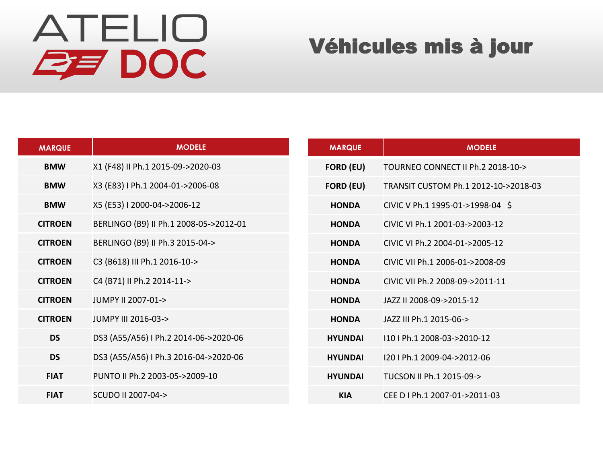| <b>MARQUE</b>  | <b>MODELE</b>                          | <b>MARQUE</b>    | <b>MODELE</b>                        |
|----------------|----------------------------------------|------------------|--------------------------------------|
| <b>BMW</b>     | X1 (F48) II Ph.1 2015-09->2020-03      | <b>FORD (EU)</b> | TOURNEO CONNECT II Ph.2 2018-10->    |
| <b>BMW</b>     | X3 (E83) I Ph.1 2004-01->2006-08       | <b>FORD (EU)</b> | TRANSIT CUSTOM Ph.1 2012-10->2018-03 |
| <b>BMW</b>     | X5 (E53) I 2000-04->2006-12            | <b>HONDA</b>     | CIVIC V Ph.1 1995-01->1998-04 \$     |
| <b>CITROEN</b> | BERLINGO (B9) II Ph.1 2008-05->2012-01 | <b>HONDA</b>     | CIVIC VI Ph.1 2001-03->2003-12       |
| <b>CITROEN</b> | BERLINGO (B9) II Ph.3 2015-04->        | <b>HONDA</b>     | CIVIC VI Ph.2 2004-01->2005-12       |
| <b>CITROEN</b> | C3 (B618) III Ph.1 2016-10->           | <b>HONDA</b>     | CIVIC VII Ph.1 2006-01->2008-09      |
| <b>CITROEN</b> | C4 (B71) II Ph.2 2014-11->             | <b>HONDA</b>     | CIVIC VII Ph.2 2008-09->2011-11      |
| <b>CITROEN</b> | JUMPY II 2007-01->                     | <b>HONDA</b>     | JAZZ II 2008-09->2015-12             |
| <b>CITROEN</b> | JUMPY III 2016-03->                    | <b>HONDA</b>     | JAZZ III Ph.1 2015-06->              |
| <b>DS</b>      | DS3 (A55/A56) I Ph.2 2014-06->2020-06  | <b>HYUNDAI</b>   | 110   Ph.1 2008-03->2010-12          |
| <b>DS</b>      | DS3 (A55/A56) I Ph.3 2016-04->2020-06  | <b>HYUNDAI</b>   | I20 I Ph.1 2009-04->2012-06          |
| <b>FIAT</b>    | PUNTO II Ph.2 2003-05->2009-10         | <b>HYUNDAI</b>   | TUCSON II Ph.1 2015-09->             |
| <b>FIAT</b>    | SCUDO II 2007-04->                     | <b>KIA</b>       | CEE D I Ph.1 2007-01->2011-03        |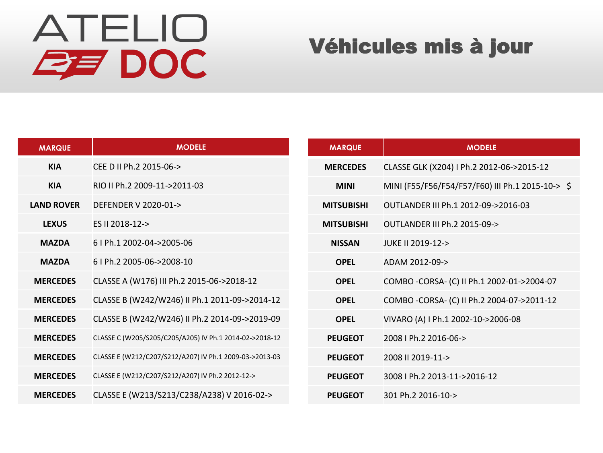| <b>MARQUE</b>     | <b>MODELE</b>                                           | <b>MARQUE</b>     | <b>MODELE</b>                                    |
|-------------------|---------------------------------------------------------|-------------------|--------------------------------------------------|
| <b>KIA</b>        | CEE D II Ph.2 2015-06->                                 | <b>MERCEDES</b>   | CLASSE GLK (X204) I Ph.2 2012-06->2015-12        |
| <b>KIA</b>        | RIO II Ph.2 2009-11->2011-03                            | <b>MINI</b>       | MINI (F55/F56/F54/F57/F60) III Ph.1 2015-10-> \$ |
| <b>LAND ROVER</b> | DEFENDER V 2020-01->                                    | <b>MITSUBISHI</b> | OUTLANDER III Ph.1 2012-09->2016-03              |
| <b>LEXUS</b>      | ES II 2018-12->                                         | <b>MITSUBISHI</b> | <b>OUTLANDER III Ph.2 2015-09-&gt;</b>           |
| <b>MAZDA</b>      | 6   Ph.1 2002-04->2005-06                               | <b>NISSAN</b>     | JUKE II 2019-12->                                |
| <b>MAZDA</b>      | 6   Ph.2 2005-06->2008-10                               | <b>OPEL</b>       | ADAM 2012-09->                                   |
| <b>MERCEDES</b>   | CLASSE A (W176) III Ph.2 2015-06->2018-12               | <b>OPEL</b>       | COMBO - CORSA - (C) II Ph.1 2002-01->2004-07     |
| <b>MERCEDES</b>   | CLASSE B (W242/W246) II Ph.1 2011-09->2014-12           | <b>OPEL</b>       | COMBO - CORSA - (C) II Ph.2 2004-07->2011-12     |
| <b>MERCEDES</b>   | CLASSE B (W242/W246) II Ph.2 2014-09->2019-09           | <b>OPEL</b>       | VIVARO (A) I Ph.1 2002-10->2006-08               |
| <b>MERCEDES</b>   | CLASSE C (W205/S205/C205/A205) IV Ph.1 2014-02->2018-12 | <b>PEUGEOT</b>    | 2008   Ph.2 2016-06->                            |
| <b>MERCEDES</b>   | CLASSE E (W212/C207/S212/A207) IV Ph.1 2009-03->2013-03 | <b>PEUGEOT</b>    | 2008 II 2019-11->                                |
| <b>MERCEDES</b>   | CLASSE E (W212/C207/S212/A207) IV Ph.2 2012-12->        | <b>PEUGEOT</b>    | 3008   Ph.2 2013-11->2016-12                     |
| <b>MERCEDES</b>   | CLASSE E (W213/S213/C238/A238) V 2016-02->              | <b>PEUGEOT</b>    | 301 Ph.2 2016-10->                               |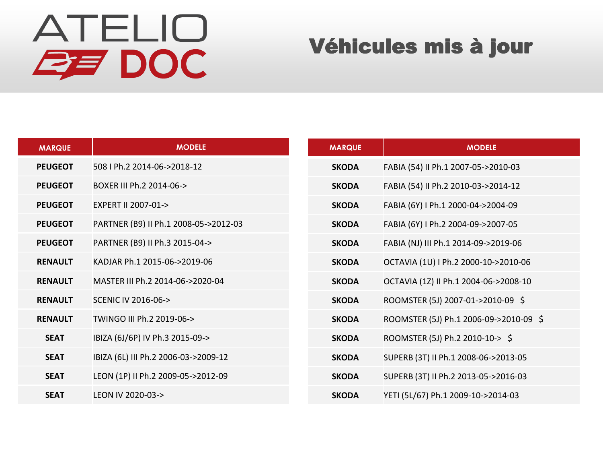| <b>MARQUE</b>  | <b>MODELE</b>                         | <b>MARQUE</b> | <b>MODELE</b>                          |
|----------------|---------------------------------------|---------------|----------------------------------------|
| <b>PEUGEOT</b> | 508   Ph.2 2014-06->2018-12           | <b>SKODA</b>  | FABIA (54) II Ph.1 2007-05->2010-03    |
| <b>PEUGEOT</b> | BOXER III Ph.2 2014-06->              | <b>SKODA</b>  | FABIA (54) II Ph.2 2010-03->2014-12    |
| <b>PEUGEOT</b> | EXPERT II 2007-01->                   | <b>SKODA</b>  | FABIA (6Y) I Ph.1 2000-04->2004-09     |
| <b>PEUGEOT</b> | PARTNER (B9) II Ph.1 2008-05->2012-03 | <b>SKODA</b>  | FABIA (6Y) I Ph.2 2004-09->2007-05     |
| <b>PEUGEOT</b> | PARTNER (B9) II Ph.3 2015-04->        | <b>SKODA</b>  | FABIA (NJ) III Ph.1 2014-09->2019-06   |
| <b>RENAULT</b> | KADJAR Ph.1 2015-06->2019-06          | <b>SKODA</b>  | OCTAVIA (1U) I Ph.2 2000-10->2010-06   |
| <b>RENAULT</b> | MASTER III Ph.2 2014-06->2020-04      | <b>SKODA</b>  | OCTAVIA (1Z) II Ph.1 2004-06->2008-10  |
| <b>RENAULT</b> | <b>SCENIC IV 2016-06-&gt;</b>         | <b>SKODA</b>  | ROOMSTER (5J) 2007-01->2010-09 \$      |
| <b>RENAULT</b> | TWINGO III Ph.2 2019-06->             | <b>SKODA</b>  | ROOMSTER (5J) Ph.1 2006-09->2010-09 \$ |
| <b>SEAT</b>    | IBIZA (6J/6P) IV Ph.3 2015-09->       | <b>SKODA</b>  | ROOMSTER (5J) Ph.2 2010-10-> \$        |
| <b>SEAT</b>    | IBIZA (6L) III Ph.2 2006-03->2009-12  | <b>SKODA</b>  | SUPERB (3T) II Ph.1 2008-06->2013-05   |
| <b>SEAT</b>    | LEON (1P) II Ph.2 2009-05->2012-09    | <b>SKODA</b>  | SUPERB (3T) II Ph.2 2013-05->2016-03   |
| <b>SEAT</b>    | LEON IV 2020-03->                     | <b>SKODA</b>  | YETI (5L/67) Ph.1 2009-10->2014-03     |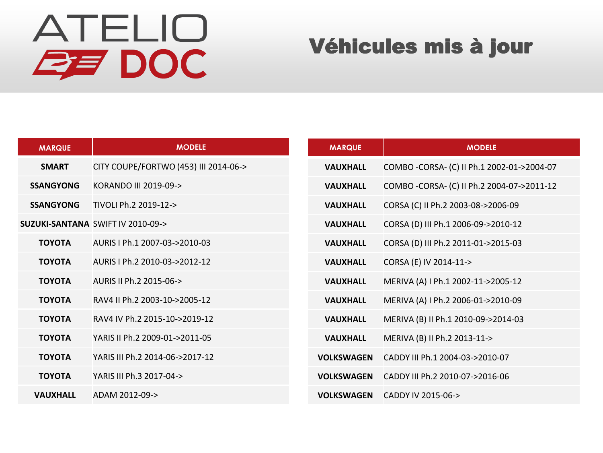| <b>MARQUE</b>    | <b>MODELE</b>                               | <b>MARQUE</b>     | <b>MODELE</b>                                |
|------------------|---------------------------------------------|-------------------|----------------------------------------------|
| <b>SMART</b>     | CITY COUPE/FORTWO (453) III 2014-06->       | <b>VAUXHALL</b>   | COMBO - CORSA - (C) II Ph.1 2002-01->2004-07 |
| <b>SSANGYONG</b> | KORANDO III 2019-09->                       | <b>VAUXHALL</b>   | COMBO - CORSA - (C) II Ph.2 2004-07->2011-12 |
| <b>SSANGYONG</b> | TIVOLI Ph.2 2019-12->                       | <b>VAUXHALL</b>   | CORSA (C) II Ph.2 2003-08->2006-09           |
|                  | <b>SUZUKI-SANTANA SWIFT IV 2010-09-&gt;</b> | <b>VAUXHALL</b>   | CORSA (D) III Ph.1 2006-09->2010-12          |
| <b>TOYOTA</b>    | AURIS I Ph.1 2007-03->2010-03               | <b>VAUXHALL</b>   | CORSA (D) III Ph.2 2011-01->2015-03          |
| <b>TOYOTA</b>    | AURIS LPh.2 2010-03->2012-12                | <b>VAUXHALL</b>   | CORSA (E) IV 2014-11->                       |
| <b>TOYOTA</b>    | AURIS II Ph.2 2015-06->                     | <b>VAUXHALL</b>   | MERIVA (A) I Ph.1 2002-11->2005-12           |
| <b>TOYOTA</b>    | RAV4 II Ph.2 2003-10->2005-12               | <b>VAUXHALL</b>   | MERIVA (A) I Ph.2 2006-01->2010-09           |
| <b>TOYOTA</b>    | RAV4 IV Ph.2 2015-10->2019-12               | <b>VAUXHALL</b>   | MERIVA (B) II Ph.1 2010-09->2014-03          |
| <b>TOYOTA</b>    | YARIS II Ph.2 2009-01->2011-05              | <b>VAUXHALL</b>   | MERIVA (B) II Ph.2 2013-11->                 |
| <b>TOYOTA</b>    | YARIS III Ph.2 2014-06->2017-12             | <b>VOLKSWAGEN</b> | CADDY III Ph.1 2004-03->2010-07              |
| <b>TOYOTA</b>    | YARIS III Ph.3 2017-04->                    | <b>VOLKSWAGEN</b> | CADDY III Ph.2 2010-07->2016-06              |
| <b>VAUXHALL</b>  | ADAM 2012-09->                              | <b>VOLKSWAGEN</b> | CADDY IV 2015-06->                           |